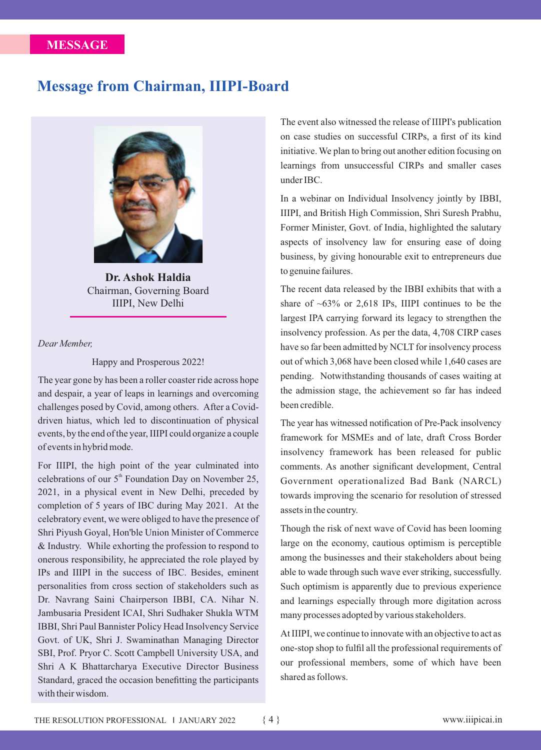## **Message from Chairman, IIIPI-Board**



**Dr. Ashok Haldia**  Chairman, Governing Board IIIPI, New Delhi

## *Dear Member,*

Happy and Prosperous 2022!

The year gone by has been a roller coaster ride across hope and despair, a year of leaps in learnings and overcoming challenges posed by Covid, among others. After a Coviddriven hiatus, which led to discontinuation of physical events, by the end of the year, IIIPI could organize a couple of events in hybrid mode.

For IIIPI, the high point of the year culminated into celebrations of our  $5<sup>th</sup>$  Foundation Day on November 25, 2021, in a physical event in New Delhi, preceded by completion of 5 years of IBC during May 2021. At the celebratory event, we were obliged to have the presence of Shri Piyush Goyal, Hon'ble Union Minister of Commerce & Industry. While exhorting the profession to respond to onerous responsibility, he appreciated the role played by IPs and IIIPI in the success of IBC. Besides, eminent personalities from cross section of stakeholders such as Dr. Navrang Saini Chairperson IBBI, CA. Nihar N. Jambusaria President ICAI, Shri Sudhaker Shukla WTM IBBI, Shri Paul Bannister Policy Head Insolvency Service Govt. of UK, Shri J. Swaminathan Managing Director SBI, Prof. Pryor C. Scott Campbell University USA, and Shri A K Bhattarcharya Executive Director Business Standard, graced the occasion benefitting the participants with their wisdom.

The event also witnessed the release of IIIPI's publication on case studies on successful CIRPs, a first of its kind initiative. We plan to bring out another edition focusing on learnings from unsuccessful CIRPs and smaller cases under IBC.

In a webinar on Individual Insolvency jointly by IBBI, IIIPI, and British High Commission, Shri Suresh Prabhu, Former Minister, Govt. of India, highlighted the salutary aspects of insolvency law for ensuring ease of doing business, by giving honourable exit to entrepreneurs due to genuine failures.

The recent data released by the IBBI exhibits that with a share of  $\sim 63\%$  or 2,618 IPs, IIIPI continues to be the largest IPA carrying forward its legacy to strengthen the insolvency profession. As per the data, 4,708 CIRP cases have so far been admitted by NCLT for insolvency process out of which 3,068 have been closed while 1,640 cases are pending. Notwithstanding thousands of cases waiting at the admission stage, the achievement so far has indeed been credible.

The year has witnessed notification of Pre-Pack insolvency framework for MSMEs and of late, draft Cross Border insolvency framework has been released for public comments. As another significant development, Central Government operationalized Bad Bank (NARCL) towards improving the scenario for resolution of stressed assets in the country.

Though the risk of next wave of Covid has been looming large on the economy, cautious optimism is perceptible among the businesses and their stakeholders about being able to wade through such wave ever striking, successfully. Such optimism is apparently due to previous experience and learnings especially through more digitation across many processes adopted by various stakeholders.

At IIIPI, we continue to innovate with an objective to act as one-stop shop to fulfil all the professional requirements of our professional members, some of which have been shared as follows.